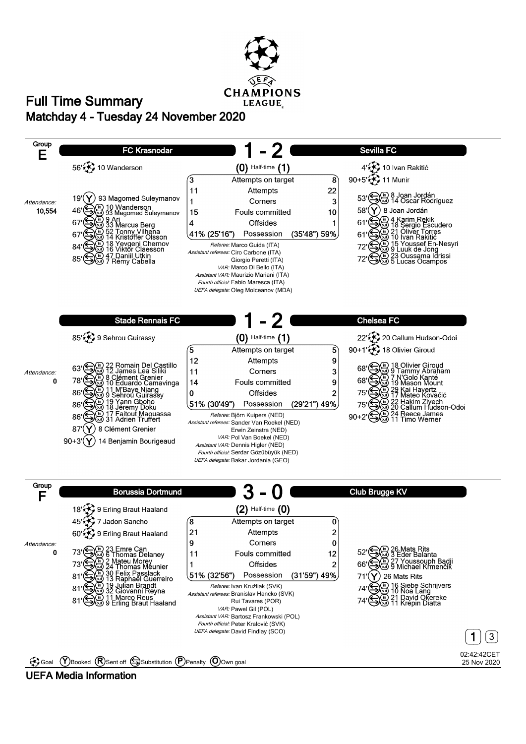

## **Matchday 4 - Tuesday 24 November 2020 Full Time Summary**



#### **UEFA Media Information**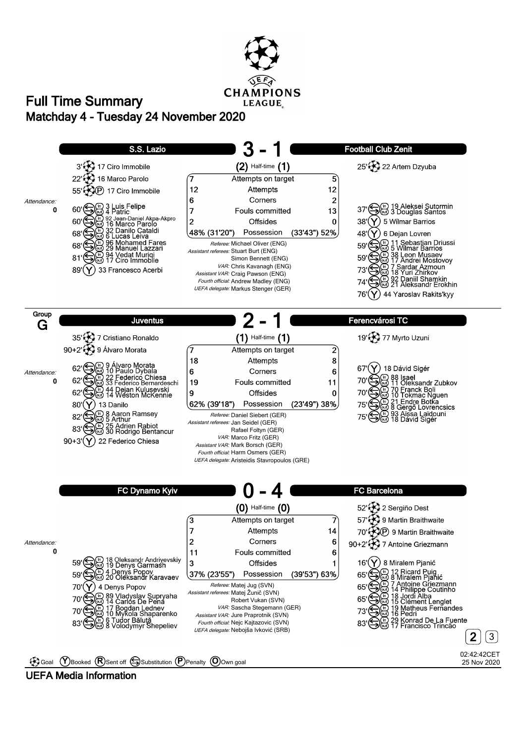

## **Matchday 4 - Tuesday 24 November 2020 Full Time Summary**



#### **UEFA Media Information**